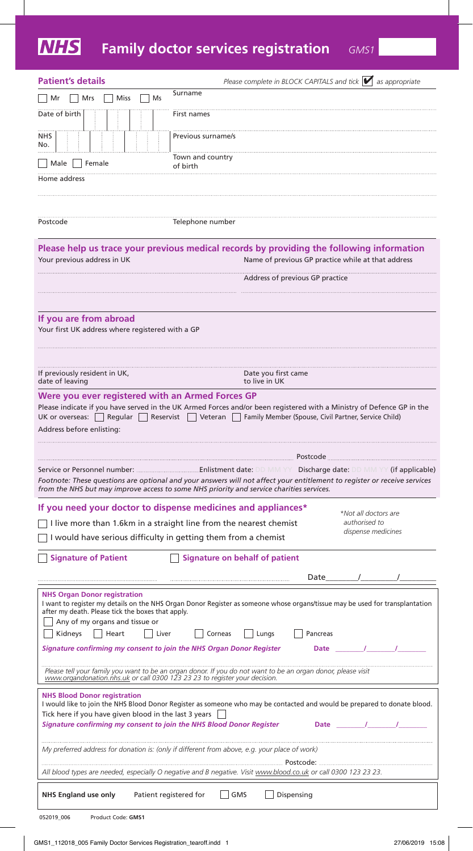#### **Family doctor services registration** *GMS1*

| <b>Patient's details</b>                                                                                                                                                    | Please complete in BLOCK CAPITALS and tick $\blacktriangleright$ as appropriate                                                                              |
|-----------------------------------------------------------------------------------------------------------------------------------------------------------------------------|--------------------------------------------------------------------------------------------------------------------------------------------------------------|
| Mr<br><b>Miss</b><br>Mrs<br>Ms                                                                                                                                              | Surname                                                                                                                                                      |
| Date of birth                                                                                                                                                               | First names                                                                                                                                                  |
| <b>NHS</b><br>No.                                                                                                                                                           | Previous surname/s                                                                                                                                           |
| Male   Female                                                                                                                                                               | Town and country<br>of birth                                                                                                                                 |
| Home address                                                                                                                                                                |                                                                                                                                                              |
|                                                                                                                                                                             |                                                                                                                                                              |
| Postcode                                                                                                                                                                    | Telephone number                                                                                                                                             |
| Your previous address in UK                                                                                                                                                 | Please help us trace your previous medical records by providing the following information<br>Name of previous GP practice while at that address              |
|                                                                                                                                                                             | Address of previous GP practice                                                                                                                              |
|                                                                                                                                                                             |                                                                                                                                                              |
| If you are from abroad<br>Your first UK address where registered with a GP                                                                                                  |                                                                                                                                                              |
| If previously resident in UK,<br>date of leaving                                                                                                                            | Date you first came<br>to live in UK                                                                                                                         |
|                                                                                                                                                                             | Footnote: These questions are optional and your answers will not affect your entitlement to register or receive services                                     |
|                                                                                                                                                                             | from the NHS but may improve access to some NHS priority and service charities services.                                                                     |
| $\Box$ I live more than 1.6km in a straight line from the nearest chemist                                                                                                   | If you need your doctor to dispense medicines and appliances*<br>*Not all doctors are<br>authorised to                                                       |
| $\overline{\phantom{a}}$ I would have serious difficulty in getting them from a chemist                                                                                     | dispense medicines                                                                                                                                           |
| <b>Signature of Patient</b>                                                                                                                                                 | <b>Signature on behalf of patient</b>                                                                                                                        |
|                                                                                                                                                                             | Date                                                                                                                                                         |
| <b>NHS Organ Donor registration</b><br>after my death. Please tick the boxes that apply.<br>Any of my organs and tissue or<br>Kidneys<br>Heart<br>Liver                     | I want to register my details on the NHS Organ Donor Register as someone whose organs/tissue may be used for transplantation<br>Corneas<br>Lungs<br>Pancreas |
| Signature confirming my consent to join the NHS Organ Donor Register                                                                                                        | Date                                                                                                                                                         |
| www.organdonation.nhs.uk or call 0300 123 23 23 to register your decision.                                                                                                  | Please tell your family you want to be an organ donor. If you do not want to be an organ donor, please visit                                                 |
| <b>NHS Blood Donor registration</b><br>Tick here if you have given blood in the last 3 years $\Box$<br>Signature confirming my consent to join the NHS Blood Donor Register | I would like to join the NHS Blood Donor Register as someone who may be contacted and would be prepared to donate blood.<br>Date /                           |
|                                                                                                                                                                             | My preferred address for donation is: (only if different from above, e.g. your place of work)                                                                |
|                                                                                                                                                                             | All blood types are needed, especially O negative and B negative. Visit www.blood.co.uk or call 0300 123 23 23.                                              |
| <b>NHS England use only</b>                                                                                                                                                 | Patient registered for<br>GMS<br>Dispensing                                                                                                                  |
| 052019_006<br>Product Code: GMS1                                                                                                                                            |                                                                                                                                                              |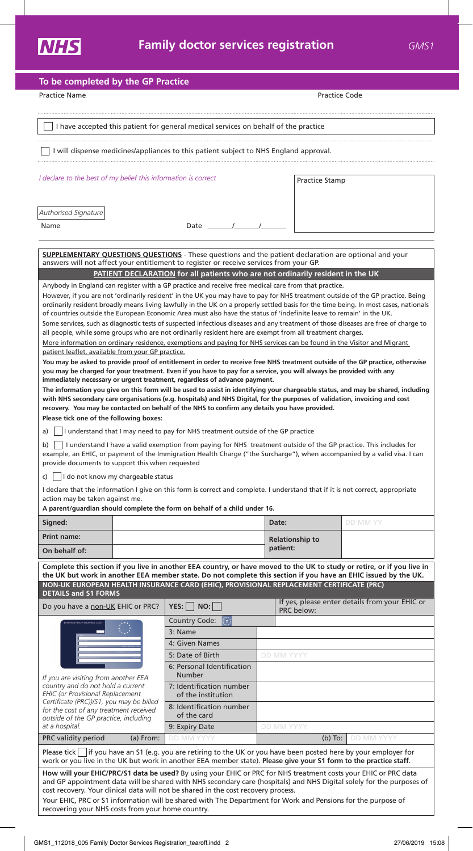

#### **To be completed by the GP Practice**

| <b>Practice Name</b>                                                                                                                                                   |                                    |                                                                                                                                                                                                                                                                                                                                                                                                                                                                                                                                                                                                                                                                                                     |                   | <b>Practice Code</b>   |                                                |  |
|------------------------------------------------------------------------------------------------------------------------------------------------------------------------|------------------------------------|-----------------------------------------------------------------------------------------------------------------------------------------------------------------------------------------------------------------------------------------------------------------------------------------------------------------------------------------------------------------------------------------------------------------------------------------------------------------------------------------------------------------------------------------------------------------------------------------------------------------------------------------------------------------------------------------------------|-------------------|------------------------|------------------------------------------------|--|
|                                                                                                                                                                        |                                    | I have accepted this patient for general medical services on behalf of the practice                                                                                                                                                                                                                                                                                                                                                                                                                                                                                                                                                                                                                 |                   |                        |                                                |  |
|                                                                                                                                                                        |                                    | I will dispense medicines/appliances to this patient subject to NHS England approval.                                                                                                                                                                                                                                                                                                                                                                                                                                                                                                                                                                                                               |                   |                        |                                                |  |
| I declare to the best of my belief this information is correct<br><b>Practice Stamp</b>                                                                                |                                    |                                                                                                                                                                                                                                                                                                                                                                                                                                                                                                                                                                                                                                                                                                     |                   |                        |                                                |  |
|                                                                                                                                                                        |                                    |                                                                                                                                                                                                                                                                                                                                                                                                                                                                                                                                                                                                                                                                                                     |                   |                        |                                                |  |
| Authorised Signature                                                                                                                                                   |                                    |                                                                                                                                                                                                                                                                                                                                                                                                                                                                                                                                                                                                                                                                                                     |                   |                        |                                                |  |
| Name                                                                                                                                                                   |                                    | Date / /                                                                                                                                                                                                                                                                                                                                                                                                                                                                                                                                                                                                                                                                                            |                   |                        |                                                |  |
|                                                                                                                                                                        |                                    | <b>SUPPLEMENTARY QUESTIONS QUESTIONS</b> - These questions and the patient declaration are optional and your<br>answers will not affect your entitlement to register or receive services from your GP.                                                                                                                                                                                                                                                                                                                                                                                                                                                                                              |                   |                        |                                                |  |
|                                                                                                                                                                        |                                    | <u>PATIENT DECLARATION</u> for all patients who are not ordinarily resident in the UK                                                                                                                                                                                                                                                                                                                                                                                                                                                                                                                                                                                                               |                   |                        |                                                |  |
|                                                                                                                                                                        |                                    | Anybody in England can register with a GP practice and receive free medical care from that practice.<br>However, if you are not 'ordinarily resident' in the UK you may have to pay for NHS treatment outside of the GP practice. Being<br>ordinarily resident broadly means living lawfully in the UK on a properly settled basis for the time being. In most cases, nationals<br>of countries outside the European Economic Area must also have the status of 'indefinite leave to remain' in the UK.<br>Some services, such as diagnostic tests of suspected infectious diseases and any treatment of those diseases are free of charge to                                                       |                   |                        |                                                |  |
| patient leaflet, available from your GP practice.                                                                                                                      |                                    | all people, while some groups who are not ordinarily resident here are exempt from all treatment charges.<br>More information on ordinary residence, exemptions and paying for NHS services can be found in the Visitor and Migrant                                                                                                                                                                                                                                                                                                                                                                                                                                                                 |                   |                        |                                                |  |
| Please tick one of the following boxes:                                                                                                                                |                                    | You may be asked to provide proof of entitlement in order to receive free NHS treatment outside of the GP practice, otherwise<br>you may be charged for your treatment. Even if you have to pay for a service, you will always be provided with any<br>immediately necessary or urgent treatment, regardless of advance payment.<br>The information you give on this form will be used to assist in identifying your chargeable status, and may be shared, including<br>with NHS secondary care organisations (e.g. hospitals) and NHS Digital, for the purposes of validation, invoicing and cost<br>recovery. You may be contacted on behalf of the NHS to confirm any details you have provided. |                   |                        |                                                |  |
| a)                                                                                                                                                                     |                                    | I understand that I may need to pay for NHS treatment outside of the GP practice                                                                                                                                                                                                                                                                                                                                                                                                                                                                                                                                                                                                                    |                   |                        |                                                |  |
| b)<br>provide documents to support this when requested                                                                                                                 |                                    | I understand I have a valid exemption from paying for NHS treatment outside of the GP practice. This includes for<br>example, an EHIC, or payment of the Immigration Health Charge ("the Surcharge"), when accompanied by a valid visa. I can                                                                                                                                                                                                                                                                                                                                                                                                                                                       |                   |                        |                                                |  |
| C)                                                                                                                                                                     | I do not know my chargeable status |                                                                                                                                                                                                                                                                                                                                                                                                                                                                                                                                                                                                                                                                                                     |                   |                        |                                                |  |
| action may be taken against me.                                                                                                                                        |                                    | I declare that the information I give on this form is correct and complete. I understand that if it is not correct, appropriate<br>A parent/quardian should complete the form on behalf of a child under 16.                                                                                                                                                                                                                                                                                                                                                                                                                                                                                        |                   |                        |                                                |  |
| Signed:                                                                                                                                                                |                                    |                                                                                                                                                                                                                                                                                                                                                                                                                                                                                                                                                                                                                                                                                                     | Date:             |                        | <b>DD MM YY</b>                                |  |
| <b>Print name:</b>                                                                                                                                                     |                                    |                                                                                                                                                                                                                                                                                                                                                                                                                                                                                                                                                                                                                                                                                                     |                   |                        |                                                |  |
| On behalf of:                                                                                                                                                          |                                    |                                                                                                                                                                                                                                                                                                                                                                                                                                                                                                                                                                                                                                                                                                     | patient:          | <b>Relationship to</b> |                                                |  |
| <b>DETAILS and S1 FORMS</b>                                                                                                                                            |                                    | Complete this section if you live in another EEA country, or have moved to the UK to study or retire, or if you live in<br>the UK but work in another EEA member state. Do not complete this section if you have an EHIC issued by the UK.<br>NON-UK EUROPEAN HEALTH INSURANCE CARD (EHIC), PROVISIONAL REPLACEMENT CERTIFICATE (PRC)                                                                                                                                                                                                                                                                                                                                                               |                   |                        | If yes, please enter details from your EHIC or |  |
| Do you have a non-UK EHIC or PRC?                                                                                                                                      |                                    | NO:<br>YES:                                                                                                                                                                                                                                                                                                                                                                                                                                                                                                                                                                                                                                                                                         |                   | PRC below:             |                                                |  |
|                                                                                                                                                                        |                                    | Country Code:<br>(¤)<br>3: Name                                                                                                                                                                                                                                                                                                                                                                                                                                                                                                                                                                                                                                                                     |                   |                        |                                                |  |
|                                                                                                                                                                        |                                    | 4: Given Names                                                                                                                                                                                                                                                                                                                                                                                                                                                                                                                                                                                                                                                                                      |                   |                        |                                                |  |
|                                                                                                                                                                        |                                    | 5: Date of Birth                                                                                                                                                                                                                                                                                                                                                                                                                                                                                                                                                                                                                                                                                    | <b>DD MM YYYY</b> |                        |                                                |  |
|                                                                                                                                                                        |                                    | 6: Personal Identification<br>Number                                                                                                                                                                                                                                                                                                                                                                                                                                                                                                                                                                                                                                                                |                   |                        |                                                |  |
| If you are visiting from another EEA<br>country and do not hold a current<br>7: Identification number<br><b>EHIC</b> (or Provisional Replacement<br>of the institution |                                    |                                                                                                                                                                                                                                                                                                                                                                                                                                                                                                                                                                                                                                                                                                     |                   |                        |                                                |  |
| Certificate (PRC))/S1, you may be billed<br>for the cost of any treatment received                                                                                     |                                    | 8: Identification number<br>of the card                                                                                                                                                                                                                                                                                                                                                                                                                                                                                                                                                                                                                                                             |                   |                        |                                                |  |
| outside of the GP practice, including<br>at a hospital.                                                                                                                |                                    | 9: Expiry Date                                                                                                                                                                                                                                                                                                                                                                                                                                                                                                                                                                                                                                                                                      | DD MM YYYY        |                        |                                                |  |
| PRC validity period                                                                                                                                                    | (a) From:                          | DD MM YYYY                                                                                                                                                                                                                                                                                                                                                                                                                                                                                                                                                                                                                                                                                          |                   | $(b)$ To:              | DD MM YYYY                                     |  |
|                                                                                                                                                                        |                                    | Please tick $\vert$ if you have an S1 (e.g. you are retiring to the UK or you have been posted here by your employer for<br>work or you live in the UK but work in another EEA member state). Please give your S1 form to the practice staff.                                                                                                                                                                                                                                                                                                                                                                                                                                                       |                   |                        |                                                |  |
|                                                                                                                                                                        |                                    | How will your EHIC/PRC/S1 data be used? By using your EHIC or PRC for NHS treatment costs your EHIC or PRC data<br>and GP appointment data will be shared with NHS secondary care (hospitals) and NHS Digital solely for the purposes of                                                                                                                                                                                                                                                                                                                                                                                                                                                            |                   |                        |                                                |  |
|                                                                                                                                                                        |                                    | cost recovery. Your clinical data will not be shared in the cost recovery process.<br>Your EHIC, PRC or S1 information will be shared with The Department for Work and Pensions for the purpose of                                                                                                                                                                                                                                                                                                                                                                                                                                                                                                  |                   |                        |                                                |  |

recovering your NHS costs from your home country.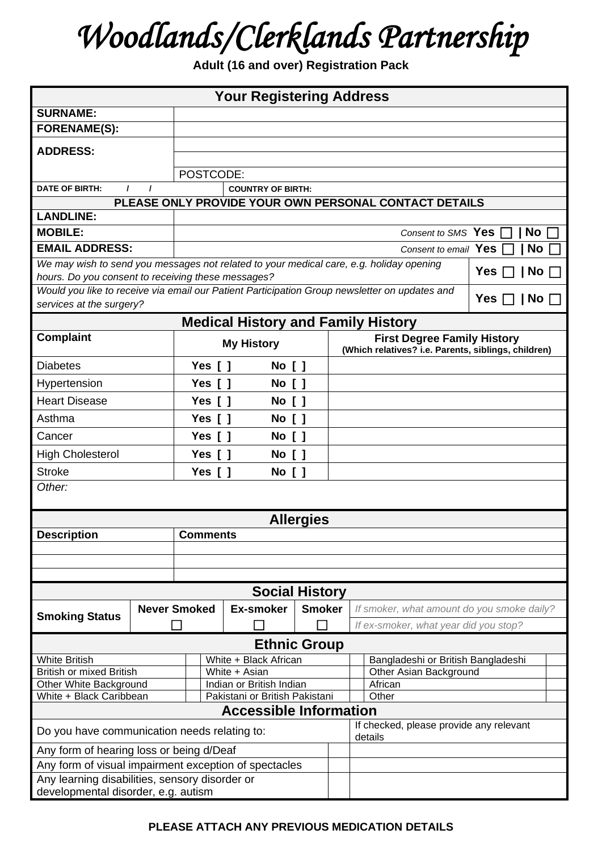## *Woodlands/Clerklands Partnership*

**Adult (16 and over) Registration Pack** 

| <b>Your Registering Address</b>                                                               |                                                                                      |                          |           |                                           |                                    |  |                                                                                           |                                   |  |
|-----------------------------------------------------------------------------------------------|--------------------------------------------------------------------------------------|--------------------------|-----------|-------------------------------------------|------------------------------------|--|-------------------------------------------------------------------------------------------|-----------------------------------|--|
| <b>SURNAME:</b>                                                                               |                                                                                      |                          |           |                                           |                                    |  |                                                                                           |                                   |  |
| <b>FORENAME(S):</b>                                                                           |                                                                                      |                          |           |                                           |                                    |  |                                                                                           |                                   |  |
|                                                                                               |                                                                                      |                          |           |                                           |                                    |  |                                                                                           |                                   |  |
| <b>ADDRESS:</b>                                                                               |                                                                                      |                          |           |                                           |                                    |  |                                                                                           |                                   |  |
|                                                                                               |                                                                                      | POSTCODE:                |           |                                           |                                    |  |                                                                                           |                                   |  |
| <b>DATE OF BIRTH:</b><br>$\prime$                                                             | $\prime$                                                                             |                          |           | <b>COUNTRY OF BIRTH:</b>                  |                                    |  |                                                                                           |                                   |  |
|                                                                                               |                                                                                      |                          |           |                                           |                                    |  | PLEASE ONLY PROVIDE YOUR OWN PERSONAL CONTACT DETAILS                                     |                                   |  |
| <b>LANDLINE:</b>                                                                              |                                                                                      |                          |           |                                           |                                    |  |                                                                                           |                                   |  |
| <b>MOBILE:</b>                                                                                |                                                                                      |                          |           |                                           |                                    |  | Consent to SMS Yes                                                                        | <b>No</b>                         |  |
| <b>EMAIL ADDRESS:</b>                                                                         |                                                                                      |                          |           |                                           |                                    |  | Consent to email Yes                                                                      | <b>No</b>                         |  |
| We may wish to send you messages not related to your medical care, e.g. holiday opening       |                                                                                      |                          |           |                                           |                                    |  |                                                                                           |                                   |  |
| hours. Do you consent to receiving these messages?                                            |                                                                                      |                          |           |                                           |                                    |  |                                                                                           | No<br>Yes I                       |  |
| Would you like to receive via email our Patient Participation Group newsletter on updates and |                                                                                      |                          |           |                                           |                                    |  |                                                                                           | $\mathsf{No}\ \Box$<br>Yes $\Box$ |  |
| services at the surgery?                                                                      |                                                                                      |                          |           |                                           |                                    |  |                                                                                           |                                   |  |
|                                                                                               |                                                                                      |                          |           | <b>Medical History and Family History</b> |                                    |  |                                                                                           |                                   |  |
| <b>Complaint</b>                                                                              |                                                                                      |                          |           | <b>My History</b>                         |                                    |  | <b>First Degree Family History</b><br>(Which relatives? i.e. Parents, siblings, children) |                                   |  |
| <b>Diabetes</b>                                                                               |                                                                                      |                          | Yes $[ ]$ | <b>No [ ]</b>                             |                                    |  |                                                                                           |                                   |  |
| Hypertension                                                                                  |                                                                                      |                          | Yes [ ]   | <b>No [ ]</b>                             |                                    |  |                                                                                           |                                   |  |
| <b>Heart Disease</b>                                                                          |                                                                                      | Yes [ ]<br><b>No</b> [ ] |           |                                           |                                    |  |                                                                                           |                                   |  |
| Asthma                                                                                        |                                                                                      |                          | Yes [ ]   | <b>No</b> [ ]                             |                                    |  |                                                                                           |                                   |  |
| Cancer                                                                                        |                                                                                      |                          | Yes [ ]   | <b>No [ ]</b>                             |                                    |  |                                                                                           |                                   |  |
| <b>High Cholesterol</b>                                                                       |                                                                                      |                          | Yes [ ]   | <b>No</b> [ ]                             |                                    |  |                                                                                           |                                   |  |
| <b>Stroke</b>                                                                                 |                                                                                      |                          | Yes [ ]   | <b>No [ ]</b>                             |                                    |  |                                                                                           |                                   |  |
| Other:                                                                                        |                                                                                      |                          |           |                                           |                                    |  |                                                                                           |                                   |  |
|                                                                                               |                                                                                      |                          |           |                                           |                                    |  |                                                                                           |                                   |  |
|                                                                                               |                                                                                      |                          |           |                                           | <b>Allergies</b>                   |  |                                                                                           |                                   |  |
| <b>Description</b>                                                                            |                                                                                      | <b>Comments</b>          |           |                                           |                                    |  |                                                                                           |                                   |  |
|                                                                                               |                                                                                      |                          |           |                                           |                                    |  |                                                                                           |                                   |  |
|                                                                                               |                                                                                      |                          |           |                                           |                                    |  |                                                                                           |                                   |  |
|                                                                                               |                                                                                      |                          |           |                                           |                                    |  |                                                                                           |                                   |  |
|                                                                                               |                                                                                      |                          |           | <b>Social History</b>                     |                                    |  |                                                                                           |                                   |  |
| <b>Smoking Status</b>                                                                         | <b>Never Smoked</b>                                                                  |                          |           | Ex-smoker                                 | <b>Smoker</b>                      |  | If smoker, what amount do you smoke daily?                                                |                                   |  |
|                                                                                               |                                                                                      |                          |           |                                           |                                    |  | If ex-smoker, what year did you stop?                                                     |                                   |  |
| <b>Ethnic Group</b>                                                                           |                                                                                      |                          |           |                                           |                                    |  |                                                                                           |                                   |  |
| <b>White British</b>                                                                          |                                                                                      | White + Black African    |           |                                           | Bangladeshi or British Bangladeshi |  |                                                                                           |                                   |  |
| <b>British or mixed British</b>                                                               | White + Asian                                                                        |                          |           | Other Asian Background                    |                                    |  |                                                                                           |                                   |  |
| White + Black Caribbean                                                                       | Other White Background<br>Indian or British Indian<br>Pakistani or British Pakistani |                          |           | African<br>Other                          |                                    |  |                                                                                           |                                   |  |
|                                                                                               |                                                                                      |                          |           | <b>Accessible Information</b>             |                                    |  |                                                                                           |                                   |  |
|                                                                                               |                                                                                      |                          |           |                                           |                                    |  | If checked, please provide any relevant                                                   |                                   |  |
|                                                                                               | Do you have communication needs relating to:<br>details                              |                          |           |                                           |                                    |  |                                                                                           |                                   |  |
|                                                                                               | Any form of hearing loss or being d/Deaf                                             |                          |           |                                           |                                    |  |                                                                                           |                                   |  |
|                                                                                               | Any form of visual impairment exception of spectacles                                |                          |           |                                           |                                    |  |                                                                                           |                                   |  |
| Any learning disabilities, sensory disorder or<br>developmental disorder, e.g. autism         |                                                                                      |                          |           |                                           |                                    |  |                                                                                           |                                   |  |

#### **PLEASE ATTACH ANY PREVIOUS MEDICATION DETAILS**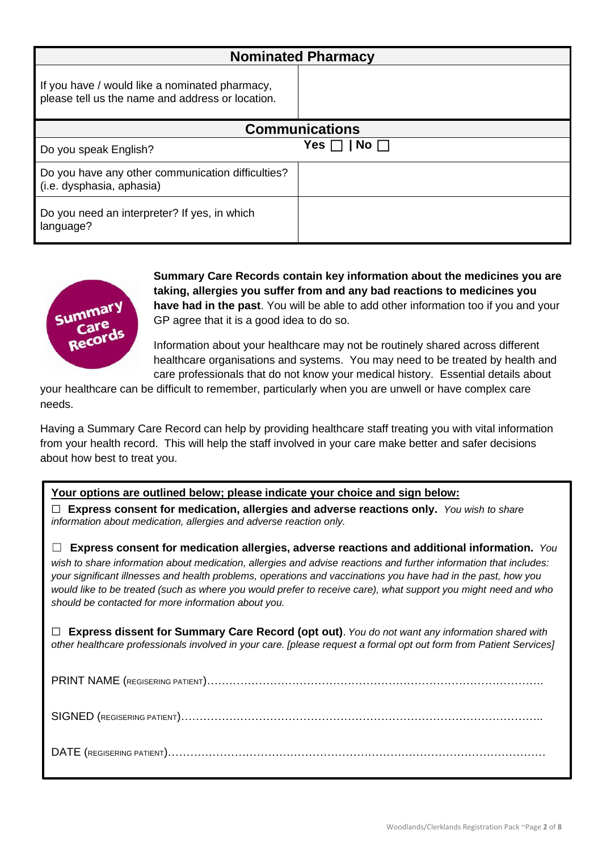| <b>Nominated Pharmacy</b>                                                                          |               |  |  |  |  |
|----------------------------------------------------------------------------------------------------|---------------|--|--|--|--|
| If you have / would like a nominated pharmacy,<br>please tell us the name and address or location. |               |  |  |  |  |
| <b>Communications</b>                                                                              |               |  |  |  |  |
| Do you speak English?                                                                              | Yes l<br>No l |  |  |  |  |
| Do you have any other communication difficulties?<br>(i.e. dysphasia, aphasia)                     |               |  |  |  |  |
| Do you need an interpreter? If yes, in which<br>language?                                          |               |  |  |  |  |



 **Summary Care Records contain key information about the medicines you are taking, allergies you suffer from and any bad reactions to medicines you have had in the past**. You will be able to add other information too if you and your GP agree that it is a good idea to do so.

 Information about your healthcare may not be routinely shared across different healthcare organisations and systems. You may need to be treated by health and care professionals that do not know your medical history. Essential details about

 your healthcare can be difficult to remember, particularly when you are unwell or have complex care needs.

 Having a Summary Care Record can help by providing healthcare staff treating you with vital information from your health record. This will help the staff involved in your care make better and safer decisions about how best to treat you.

 **Your options are outlined below; please indicate your choice and sign below:** 

 ☐ **Express consent for medication, allergies and adverse reactions only.** *You wish to share information about medication, allergies and adverse reaction only.* 

 ☐ **Express consent for medication allergies, adverse reactions and additional information.** *You your significant illnesses and health problems, operations and vaccinations you have had in the past, how you wish to share information about medication, allergies and advise reactions and further information that includes: would like to be treated (such as where you would prefer to receive care), what support you might need and who should be contacted for more information about you.* 

 ☐ **Express dissent for Summary Care Record (opt out)**. *You do not want any information shared with other healthcare professionals involved in your care. [please request a formal opt out form from Patient Services]*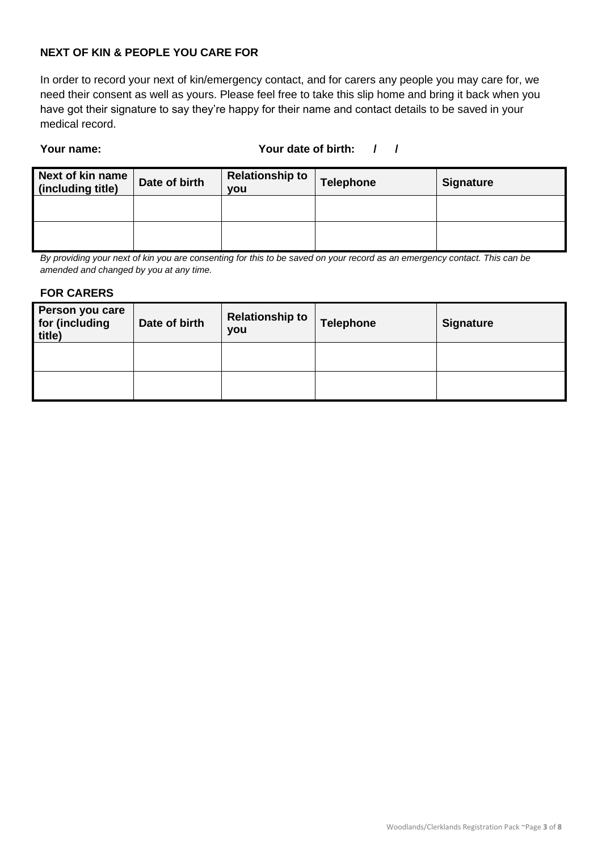#### **NEXT OF KIN & PEOPLE YOU CARE FOR**

 In order to record your next of kin/emergency contact, and for carers any people you may care for, we need their consent as well as yours. Please feel free to take this slip home and bring it back when you have got their signature to say they're happy for their name and contact details to be saved in your medical record.

#### **Your name: Your date of birth: / /**

| Next of kin name<br>(including title) | Date of birth | <b>Relationship to</b><br><b>vou</b> | <b>Telephone</b> | <b>Signature</b> |
|---------------------------------------|---------------|--------------------------------------|------------------|------------------|
|                                       |               |                                      |                  |                  |
|                                       |               |                                      |                  |                  |

 *By providing your next of kin you are consenting for this to be saved on your record as an emergency contact. This can be amended and changed by you at any time.* 

#### **FOR CARERS**

| Person you care<br>for (including<br>title) | Date of birth | <b>Relationship to</b><br>you | <b>Telephone</b> | <b>Signature</b> |
|---------------------------------------------|---------------|-------------------------------|------------------|------------------|
|                                             |               |                               |                  |                  |
|                                             |               |                               |                  |                  |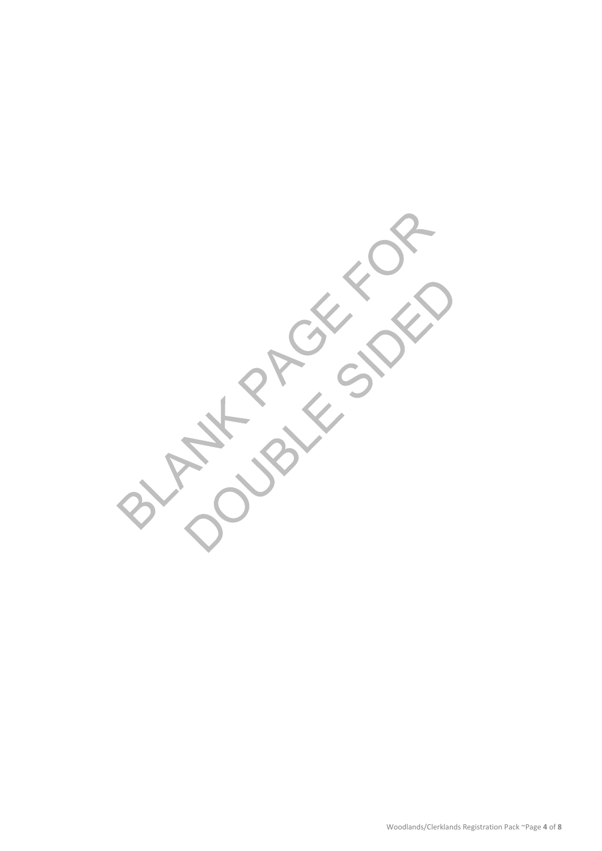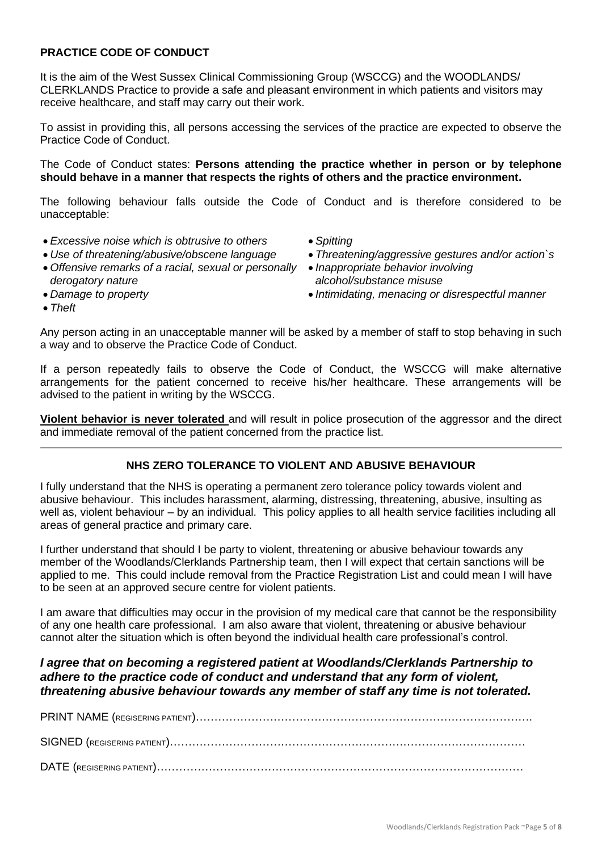#### **PRACTICE CODE OF CONDUCT**

 It is the aim of the West Sussex Clinical Commissioning Group (WSCCG) and the WOODLANDS/ CLERKLANDS Practice to provide a safe and pleasant environment in which patients and visitors may receive healthcare, and staff may carry out their work.

 To assist in providing this, all persons accessing the services of the practice are expected to observe the Practice Code of Conduct.

 The Code of Conduct states: **Persons attending the practice whether in person or by telephone should behave in a manner that respects the rights of others and the practice environment.** 

 The following behaviour falls outside the Code of Conduct and is therefore considered to be unacceptable:

- *Excessive noise which is obtrusive to others Spitting*
- 
- *Offensive remarks of a racial, sexual or personally Inappropriate behavior involving derogatory nature alcohol/substance misuse*
- 
- 
- *Use of threatening/abusive/obscene language Threatening/aggressive gestures and/or action`s* 
	-
- Damage to property  *Intimidating, menacing or disrespectful manner*
- *Theft*

 Any person acting in an unacceptable manner will be asked by a member of staff to stop behaving in such a way and to observe the Practice Code of Conduct.

 If a person repeatedly fails to observe the Code of Conduct, the WSCCG will make alternative arrangements for the patient concerned to receive his/her healthcare. These arrangements will be advised to the patient in writing by the WSCCG.

 **Violent behavior is never tolerated** and will result in police prosecution of the aggressor and the direct and immediate removal of the patient concerned from the practice list.

#### **NHS ZERO TOLERANCE TO VIOLENT AND ABUSIVE BEHAVIOUR**

 I fully understand that the NHS is operating a permanent zero tolerance policy towards violent and abusive behaviour. This includes harassment, alarming, distressing, threatening, abusive, insulting as well as, violent behaviour – by an individual. This policy applies to all health service facilities including all areas of general practice and primary care.

 I further understand that should I be party to violent, threatening or abusive behaviour towards any member of the Woodlands/Clerklands Partnership team, then I will expect that certain sanctions will be applied to me. This could include removal from the Practice Registration List and could mean I will have to be seen at an approved secure centre for violent patients.

 I am aware that difficulties may occur in the provision of my medical care that cannot be the responsibility of any one health care professional. I am also aware that violent, threatening or abusive behaviour cannot alter the situation which is often beyond the individual health care professional's control.

#### *I agree that on becoming a registered patient at Woodlands/Clerklands Partnership to adhere to the practice code of conduct and understand that any form of violent, threatening abusive behaviour towards any member of staff any time is not tolerated.*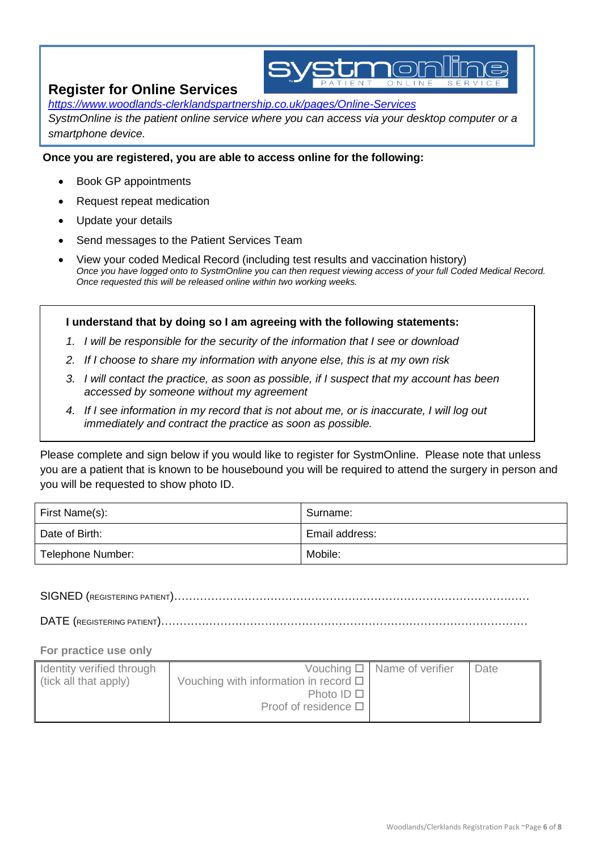

#### **Register for Online Services**

*<https://www.woodlands-clerklandspartnership.co.uk/pages/Online-Services>*

 *SystmOnline is the patient online service where you can access via your desktop computer or a smartphone device.* 

#### **Once you are registered, you are able to access online for the following:**

- Book GP appointments
- Request repeat medication
- Update your details
- Send messages to the Patient Services Team
- Once you have logged onto to SystmOnline you can then request viewing access of your full Coded Medical Record.<br>Once requested this will be released online within two working weeks. • View your coded Medical Record (including test results and vaccination history)

#### **I understand that by doing so I am agreeing with the following statements:**

- *1. I will be responsible for the security of the information that I see or download*
- *2. If I choose to share my information with anyone else, this is at my own risk*
- *3. I will contact the practice, as soon as possible, if I suspect that my account has been accessed by someone without my agreement*
- *4. If I see information in my record that is not about me, or is inaccurate, I will log out immediately and contract the practice as soon as possible.*

 Please complete and sign below if you would like to register for SystmOnline. Please note that unless you are a patient that is known to be housebound you will be required to attend the surgery in person and you will be requested to show photo ID.

| First Name(s):    | Surname:       |
|-------------------|----------------|
| Date of Birth:    | Email address: |
| Telephone Number: | Mobile:        |

SIGNED (REGISTERING PATIENT)……………………………………………………………………………………

DATE (REGISTERING PATIENT)………………………………………………………………………………………

#### **For practice use only**

| Identity verified through |                                            | Vouching $\Box$ Name of verifier | Date |
|---------------------------|--------------------------------------------|----------------------------------|------|
| (tick all that apply)     | Vouching with information in record $\Box$ |                                  |      |
|                           | Photo $ID \Box$                            |                                  |      |
|                           | Proof of residence $\square$               |                                  |      |
|                           |                                            |                                  |      |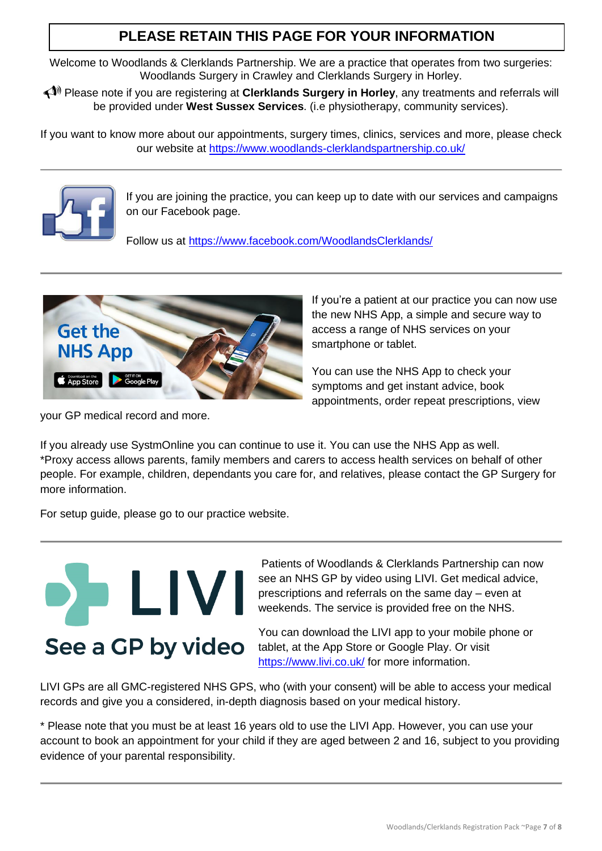### **PLEASE RETAIN THIS PAGE FOR YOUR INFORMATION**

Welcome to Woodlands & Clerklands Partnership. We are a practice that operates from two surgeries: Woodlands Surgery in Crawley and Clerklands Surgery in Horley.

 Please note if you are registering at **Clerklands Surgery in Horley**, any treatments and referrals will be provided under **West Sussex Services**. (i.e physiotherapy, community services).

If you want to know more about our appointments, surgery times, clinics, services and more, please check our website at<https://www.woodlands-clerklandspartnership.co.uk/>



on our Facebook page. If you are joining the practice, you can keep up to date with our services and campaigns

Follow us at https://www.facebook.com/WoodlandsClerklands/



If you're a patient at our practice you can now use the new NHS App, a simple and secure way to access a range of NHS services on your smartphone or tablet.

You can use the NHS App to check your symptoms and get instant advice, book appointments, order repeat prescriptions, view

your GP medical record and more.

more information. If you already use SystmOnline you can continue to use it. You can use the NHS App as well. \*Proxy access allows parents, family members and carers to access health services on behalf of other people. For example, children, dependants you care for, and relatives, please contact the GP Surgery for

For setup guide, please go to our practice website.

# **LIVI**  See a GP by video

Patients of Woodlands & Clerklands Partnership can now see an NHS GP by video using LIVI. Get medical advice, prescriptions and referrals on the same day – even at weekends. The service is provided free on the NHS.

You can download the LIVI app to your mobile phone or tablet, at the App Store or Google Play. Or visit <https://www.livi.co.uk/>for more information.

LIVI GPs are all GMC-registered NHS GPS, who (with your consent) will be able to access your medical records and give you a considered, in-depth diagnosis based on your medical history.

\* Please note that you must be at least 16 years old to use the LIVI App. However, you can use your account to book an appointment for your child if they are aged between 2 and 16, subject to you providing evidence of your parental responsibility.